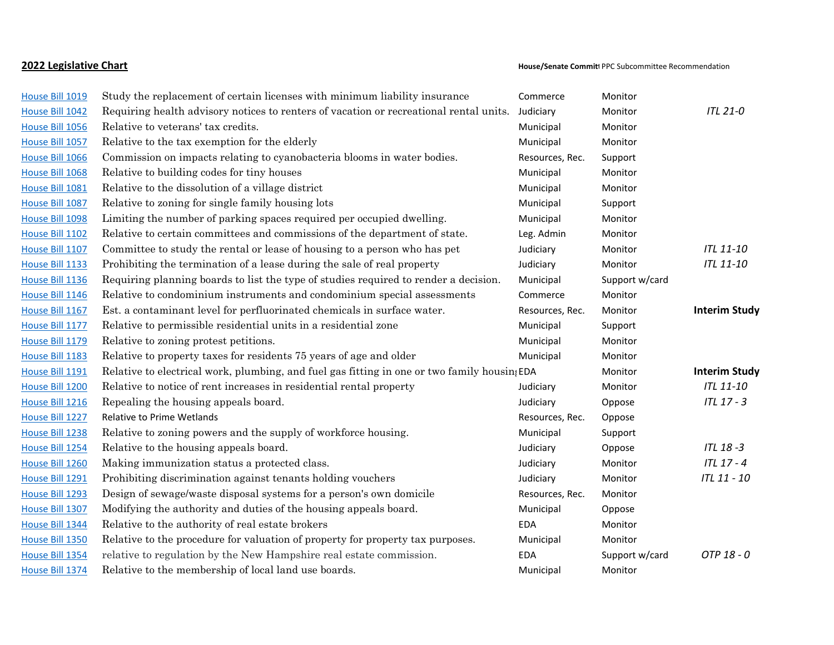| House Bill 1019 | Study the replacement of certain licenses with minimum liability insurance                   | Commerce        | Monitor        |                      |
|-----------------|----------------------------------------------------------------------------------------------|-----------------|----------------|----------------------|
| House Bill 1042 | Requiring health advisory notices to renters of vacation or recreational rental units.       | Judiciary       | Monitor        | <b>ITL 21-0</b>      |
| House Bill 1056 | Relative to veterans' tax credits.                                                           | Municipal       | Monitor        |                      |
| House Bill 1057 | Relative to the tax exemption for the elderly                                                | Municipal       | Monitor        |                      |
| House Bill 1066 | Commission on impacts relating to cyanobacteria blooms in water bodies.                      | Resources, Rec. | Support        |                      |
| House Bill 1068 | Relative to building codes for tiny houses                                                   | Municipal       | Monitor        |                      |
| House Bill 1081 | Relative to the dissolution of a village district                                            | Municipal       | Monitor        |                      |
| House Bill 1087 | Relative to zoning for single family housing lots                                            | Municipal       | Support        |                      |
| House Bill 1098 | Limiting the number of parking spaces required per occupied dwelling.                        | Municipal       | Monitor        |                      |
| House Bill 1102 | Relative to certain committees and commissions of the department of state.                   | Leg. Admin      | Monitor        |                      |
| House Bill 1107 | Committee to study the rental or lease of housing to a person who has pet                    | Judiciary       | Monitor        | ITL 11-10            |
| House Bill 1133 | Prohibiting the termination of a lease during the sale of real property                      | Judiciary       | Monitor        | <b>ITL 11-10</b>     |
| House Bill 1136 | Requiring planning boards to list the type of studies required to render a decision.         | Municipal       | Support w/card |                      |
| House Bill 1146 | Relative to condominium instruments and condominium special assessments                      | Commerce        | Monitor        |                      |
| House Bill 1167 | Est. a contaminant level for perfluorinated chemicals in surface water.                      | Resources, Rec. | Monitor        | <b>Interim Study</b> |
| House Bill 1177 | Relative to permissible residential units in a residential zone                              | Municipal       | Support        |                      |
| House Bill 1179 | Relative to zoning protest petitions.                                                        | Municipal       | Monitor        |                      |
| House Bill 1183 | Relative to property taxes for residents 75 years of age and older                           | Municipal       | Monitor        |                      |
| House Bill 1191 | Relative to electrical work, plumbing, and fuel gas fitting in one or two family housing EDA |                 | Monitor        | <b>Interim Study</b> |
| House Bill 1200 | Relative to notice of rent increases in residential rental property                          | Judiciary       | Monitor        | <b>ITL 11-10</b>     |
| House Bill 1216 | Repealing the housing appeals board.                                                         | Judiciary       | Oppose         | ITL 17 - 3           |
| House Bill 1227 | Relative to Prime Wetlands                                                                   | Resources, Rec. | Oppose         |                      |
| House Bill 1238 | Relative to zoning powers and the supply of workforce housing.                               | Municipal       | Support        |                      |
| House Bill 1254 | Relative to the housing appeals board.                                                       | Judiciary       | Oppose         | ITL 18-3             |
| House Bill 1260 | Making immunization status a protected class.                                                | Judiciary       | Monitor        | ITL 17 - 4           |
| House Bill 1291 | Prohibiting discrimination against tenants holding vouchers                                  | Judiciary       | Monitor        | ITL 11 - 10          |
| House Bill 1293 | Design of sewage/waste disposal systems for a person's own domicile                          | Resources, Rec. | Monitor        |                      |
| House Bill 1307 | Modifying the authority and duties of the housing appeals board.                             | Municipal       | Oppose         |                      |
| House Bill 1344 | Relative to the authority of real estate brokers                                             | <b>EDA</b>      | Monitor        |                      |
| House Bill 1350 | Relative to the procedure for valuation of property for property tax purposes.               | Municipal       | Monitor        |                      |
| House Bill 1354 | relative to regulation by the New Hampshire real estate commission.                          | <b>EDA</b>      | Support w/card | OTP 18 - 0           |
| House Bill 1374 | Relative to the membership of local land use boards.                                         | Municipal       | Monitor        |                      |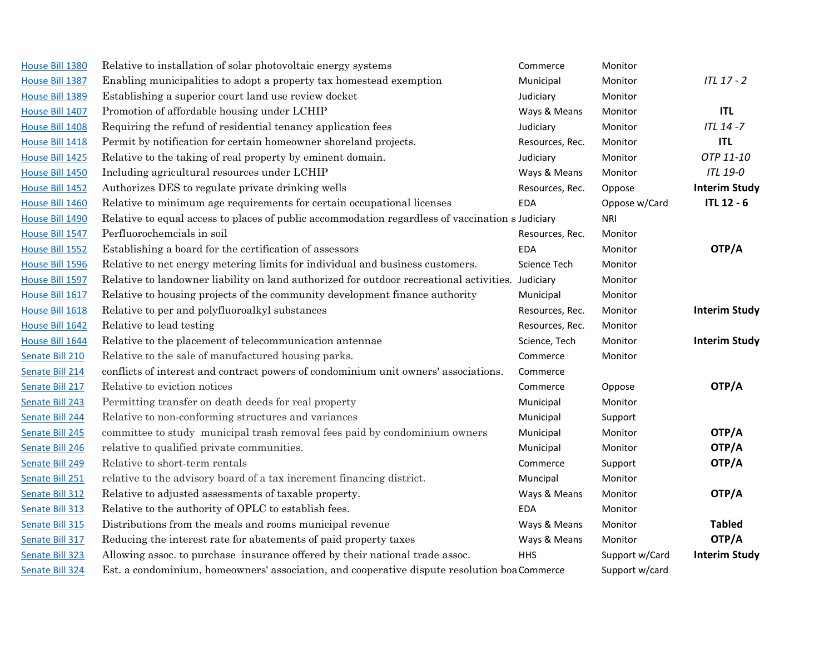| House Bill 1380 | Relative to installation of solar photovoltaic energy systems                                     | Commerce        | Monitor        |                      |
|-----------------|---------------------------------------------------------------------------------------------------|-----------------|----------------|----------------------|
| House Bill 1387 | Enabling municipalities to adopt a property tax homestead exemption                               | Municipal       | Monitor        | <b>ITL 17 - 2</b>    |
| House Bill 1389 | Establishing a superior court land use review docket                                              | Judiciary       | Monitor        |                      |
| House Bill 1407 | Promotion of affordable housing under LCHIP                                                       | Ways & Means    | Monitor        | <b>ITL</b>           |
| House Bill 1408 | Requiring the refund of residential tenancy application fees                                      | Judiciary       | Monitor        | ITL 14-7             |
| House Bill 1418 | Permit by notification for certain homeowner shoreland projects.                                  | Resources, Rec. | Monitor        | <b>ITL</b>           |
| House Bill 1425 | Relative to the taking of real property by eminent domain.                                        | Judiciary       | Monitor        | OTP 11-10            |
| House Bill 1450 | Including agricultural resources under LCHIP                                                      | Ways & Means    | Monitor        | <b>ITL 19-0</b>      |
| House Bill 1452 | Authorizes DES to regulate private drinking wells                                                 | Resources, Rec. | Oppose         | <b>Interim Study</b> |
| House Bill 1460 | Relative to minimum age requirements for certain occupational licenses                            | <b>EDA</b>      | Oppose w/Card  | <b>ITL 12 - 6</b>    |
| House Bill 1490 | Relative to equal access to places of public accommodation regardless of vaccination s Judiciary  |                 | <b>NRI</b>     |                      |
| House Bill 1547 | Perfluorochemcials in soil                                                                        | Resources, Rec. | Monitor        |                      |
| House Bill 1552 | Establishing a board for the certification of assessors                                           | <b>EDA</b>      | Monitor        | OTP/A                |
| House Bill 1596 | Relative to net energy metering limits for individual and business customers.                     | Science Tech    | Monitor        |                      |
| House Bill 1597 | Relative to landowner liability on land authorized for outdoor recreational activities. Judiciary |                 | Monitor        |                      |
| House Bill 1617 | Relative to housing projects of the community development finance authority                       | Municipal       | Monitor        |                      |
| House Bill 1618 | Relative to per and polyfluoroalkyl substances                                                    | Resources, Rec. | Monitor        | <b>Interim Study</b> |
| House Bill 1642 | Relative to lead testing                                                                          | Resources, Rec. | Monitor        |                      |
| House Bill 1644 | Relative to the placement of telecommunication antennae                                           | Science, Tech   | Monitor        | <b>Interim Study</b> |
| Senate Bill 210 | Relative to the sale of manufactured housing parks.                                               | Commerce        | Monitor        |                      |
| Senate Bill 214 | conflicts of interest and contract powers of condominium unit owners' associations.               | Commerce        |                |                      |
| Senate Bill 217 | Relative to eviction notices                                                                      | Commerce        | Oppose         | OTP/A                |
| Senate Bill 243 | Permitting transfer on death deeds for real property                                              | Municipal       | Monitor        |                      |
| Senate Bill 244 | Relative to non-conforming structures and variances                                               | Municipal       | Support        |                      |
| Senate Bill 245 | committee to study municipal trash removal fees paid by condominium owners                        | Municipal       | Monitor        | OTP/A                |
| Senate Bill 246 | relative to qualified private communities.                                                        | Municipal       | Monitor        | OTP/A                |
| Senate Bill 249 | Relative to short-term rentals                                                                    | Commerce        | Support        | OTP/A                |
| Senate Bill 251 | relative to the advisory board of a tax increment financing district.                             | Muncipal        | Monitor        |                      |
| Senate Bill 312 | Relative to adjusted assessments of taxable property.                                             | Ways & Means    | Monitor        | OTP/A                |
| Senate Bill 313 | Relative to the authority of OPLC to establish fees.                                              | <b>EDA</b>      | Monitor        |                      |
| Senate Bill 315 | Distributions from the meals and rooms municipal revenue                                          | Ways & Means    | Monitor        | <b>Tabled</b>        |
| Senate Bill 317 | Reducing the interest rate for abatements of paid property taxes                                  | Ways & Means    | Monitor        | OTP/A                |
| Senate Bill 323 | Allowing assoc. to purchase insurance offered by their national trade assoc.                      | <b>HHS</b>      | Support w/Card | <b>Interim Study</b> |
| Senate Bill 324 | Est. a condominium, homeowners' association, and cooperative dispute resolution boa Commerce      |                 | Support w/card |                      |